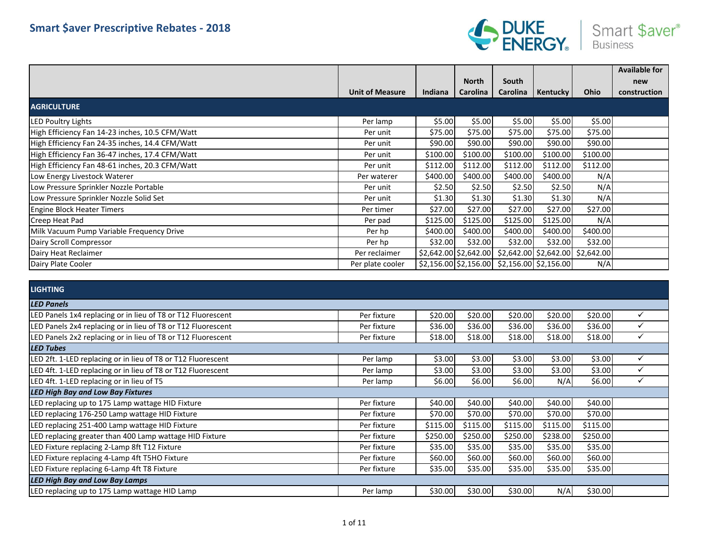

|                                                 |                        |          |              |                                                        |           |                                                                                                               | <b>Available for</b> |
|-------------------------------------------------|------------------------|----------|--------------|--------------------------------------------------------|-----------|---------------------------------------------------------------------------------------------------------------|----------------------|
|                                                 |                        |          | <b>North</b> | South                                                  |           |                                                                                                               | new                  |
|                                                 | <b>Unit of Measure</b> | Indiana  | Carolina     | Carolina                                               | Kentucky  | Ohio                                                                                                          | construction         |
| <b>AGRICULTURE</b>                              |                        |          |              |                                                        |           |                                                                                                               |                      |
| <b>LED Poultry Lights</b>                       | Per lamp               | \$5.00   | \$5.00       | \$5.00                                                 | \$5.00    | \$5.00                                                                                                        |                      |
| High Efficiency Fan 14-23 inches, 10.5 CFM/Watt | Per unit               | \$75.00  | \$75.00      | \$75.00                                                | \$75.00   | \$75.00                                                                                                       |                      |
| High Efficiency Fan 24-35 inches, 14.4 CFM/Watt | Per unit               | \$90.00  | \$90.00      | \$90.00                                                | \$90.00   | \$90.00                                                                                                       |                      |
| High Efficiency Fan 36-47 inches, 17.4 CFM/Watt | Per unit               | \$100.00 | \$100.00     | \$100.00                                               | \$100.00  | \$100.00                                                                                                      |                      |
| High Efficiency Fan 48-61 inches, 20.3 CFM/Watt | Per unit               | \$112.00 | \$112.00     | \$112.00                                               | \$112.00  | \$112.00                                                                                                      |                      |
| Low Energy Livestock Waterer                    | Per waterer            | \$400.00 | \$400.00     | \$400.00                                               | \$400.00] | N/A                                                                                                           |                      |
| Low Pressure Sprinkler Nozzle Portable          | Per unit               | \$2.50   | \$2.50       | \$2.50                                                 | \$2.50    | N/A                                                                                                           |                      |
| Low Pressure Sprinkler Nozzle Solid Set         | Per unit               | \$1.30   | \$1.30       | \$1.30                                                 | \$1.30    | N/A                                                                                                           |                      |
| Engine Block Heater Timers                      | Per timer              | \$27.00  | \$27.00      | \$27.00                                                | \$27.00   | \$27.00                                                                                                       |                      |
| Creep Heat Pad                                  | Per pad                | \$125.00 | \$125.00     | \$125.00                                               | \$125.00  | N/A                                                                                                           |                      |
| Milk Vacuum Pump Variable Frequency Drive       | Per hp                 | \$400.00 | \$400.00     | \$400.00                                               | \$400.00] | \$400.00                                                                                                      |                      |
| Dairy Scroll Compressor                         | Per hp                 | \$32.00  | \$32.00      | \$32.00                                                | \$32.00   | \$32.00                                                                                                       |                      |
| Dairy Heat Reclaimer                            | Per reclaimer          |          |              |                                                        |           | $\frac{1}{2}$ ,642.00 $\frac{2}{2}$ ,642.00 $\frac{1}{2}$ ,642.00 $\frac{2}{2}$ ,642.00 $\frac{2}{2}$ ,642.00 |                      |
| Dairy Plate Cooler                              | Per plate cooler       |          |              | $\frac{1}{2}$ ,156.00 \$2,156.00 \$2,156.00 \$2,156.00 |           | N/A                                                                                                           |                      |

| <b>LIGHTING</b>                                              |             |          |          |          |          |          |              |  |
|--------------------------------------------------------------|-------------|----------|----------|----------|----------|----------|--------------|--|
| <b>LED Panels</b>                                            |             |          |          |          |          |          |              |  |
| LED Panels 1x4 replacing or in lieu of T8 or T12 Fluorescent | Per fixture | \$20.00  | \$20.00  | \$20.00  | \$20.00  | \$20.00  | ✓            |  |
| LED Panels 2x4 replacing or in lieu of T8 or T12 Fluorescent | Per fixture | \$36.00  | \$36.00  | \$36.00  | \$36.00  | \$36.00  | $\checkmark$ |  |
| LED Panels 2x2 replacing or in lieu of T8 or T12 Fluorescent | Per fixture | \$18.00  | \$18.00  | \$18.00  | \$18.00  | \$18.00  | $\checkmark$ |  |
| <b>LED Tubes</b>                                             |             |          |          |          |          |          |              |  |
| LED 2ft. 1-LED replacing or in lieu of T8 or T12 Fluorescent | Per lamp    | \$3.00   | \$3.00   | \$3.00   | \$3.00   | \$3.00   | ✓            |  |
| LED 4ft. 1-LED replacing or in lieu of T8 or T12 Fluorescent | Per lamp    | \$3.00   | \$3.00   | \$3.00   | \$3.00   | \$3.00   |              |  |
| LED 4ft. 1-LED replacing or in lieu of T5                    | Per lamp    | \$6.00   | \$6.00   | \$6.00   | N/A      | \$6.00   | $\checkmark$ |  |
| <b>LED High Bay and Low Bay Fixtures</b>                     |             |          |          |          |          |          |              |  |
| LED replacing up to 175 Lamp wattage HID Fixture             | Per fixture | \$40.00  | \$40.00  | \$40.00  | \$40.00  | \$40.00  |              |  |
| LED replacing 176-250 Lamp wattage HID Fixture               | Per fixture | \$70.00  | \$70.00  | \$70.00  | \$70.00  | \$70.00  |              |  |
| LED replacing 251-400 Lamp wattage HID Fixture               | Per fixture | \$115.00 | \$115.00 | \$115.00 | \$115.00 | \$115.00 |              |  |
| LED replacing greater than 400 Lamp wattage HID Fixture      | Per fixture | \$250.00 | \$250.00 | \$250.00 | \$238.00 | \$250.00 |              |  |
| LED Fixture replacing 2-Lamp 8ft T12 Fixture                 | Per fixture | \$35.00  | \$35.00  | \$35.00  | \$35.00  | \$35.00  |              |  |
| LED Fixture replacing 4-Lamp 4ft T5HO Fixture                | Per fixture | \$60.00  | \$60.00  | \$60.00  | \$60.00  | \$60.00  |              |  |
| LED Fixture replacing 6-Lamp 4ft T8 Fixture                  | Per fixture | \$35.00  | \$35.00  | \$35.00  | \$35.00  | \$35.00  |              |  |
| <b>LED High Bay and Low Bay Lamps</b>                        |             |          |          |          |          |          |              |  |
| LED replacing up to 175 Lamp wattage HID Lamp                | Per lamp    | \$30.00  | \$30.00  | \$30.00  | N/A      | \$30.00  |              |  |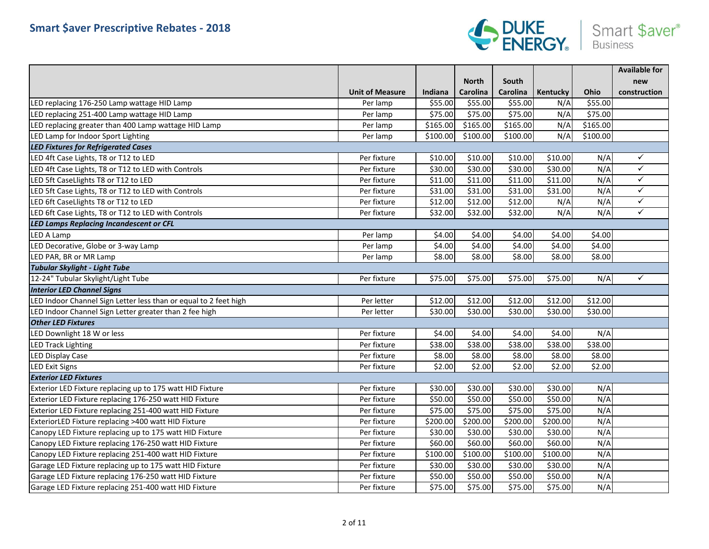

|                                                                  |                        |          |                 |          |          |          | <b>Available for</b> |
|------------------------------------------------------------------|------------------------|----------|-----------------|----------|----------|----------|----------------------|
|                                                                  |                        |          | <b>North</b>    | South    |          |          | new                  |
|                                                                  | <b>Unit of Measure</b> | Indiana  | <b>Carolina</b> | Carolina | Kentucky | Ohio     | construction         |
| LED replacing 176-250 Lamp wattage HID Lamp                      | Per lamp               | \$55.00  | \$55.00         | \$55.00  | N/A      | \$55.00  |                      |
| LED replacing 251-400 Lamp wattage HID Lamp                      | Per lamp               | \$75.00  | \$75.00         | \$75.00  | N/A      | \$75.00  |                      |
| LED replacing greater than 400 Lamp wattage HID Lamp             | Per lamp               | \$165.00 | \$165.00        | \$165.00 | N/A      | \$165.00 |                      |
| LED Lamp for Indoor Sport Lighting                               | Per lamp               | \$100.00 | \$100.00        | \$100.00 | N/A      | \$100.00 |                      |
| <b>LED Fixtures for Refrigerated Cases</b>                       |                        |          |                 |          |          |          |                      |
| LED 4ft Case Lights, T8 or T12 to LED                            | Per fixture            | \$10.00  | \$10.00         | \$10.00  | \$10.00  | N/A      | ✓                    |
| LED 4ft Case Lights, T8 or T12 to LED with Controls              | Per fixture            | \$30.00  | \$30.00         | \$30.00  | \$30.00  | N/A      | $\checkmark$         |
| LED 5ft CaseLlights T8 or T12 to LED                             | Per fixture            | \$11.00  | \$11.00         | \$11.00  | \$11.00  | N/A      | ✓                    |
| LED 5ft Case Lights, T8 or T12 to LED with Controls              | Per fixture            | \$31.00  | \$31.00         | \$31.00  | \$31.00  | N/A      | ✓                    |
| LED 6ft CaseLlights T8 or T12 to LED                             | Per fixture            | \$12.00  | \$12.00         | \$12.00  | N/A      | N/A      | ✓                    |
| LED 6ft Case Lights, T8 or T12 to LED with Controls              | Per fixture            | \$32.00  | \$32.00         | \$32.00  | N/A      | N/A      | ✓                    |
| <b>LED Lamps Replacing Incandescent or CFL</b>                   |                        |          |                 |          |          |          |                      |
| LED A Lamp                                                       | Per lamp               | \$4.00   | \$4.00          | \$4.00   | \$4.00   | \$4.00   |                      |
| LED Decorative, Globe or 3-way Lamp                              | Per lamp               | \$4.00   | \$4.00          | \$4.00   | \$4.00   | \$4.00   |                      |
| LED PAR, BR or MR Lamp                                           | Per lamp               | \$8.00   | \$8.00          | \$8.00   | \$8.00   | \$8.00   |                      |
| Tubular Skylight - Light Tube                                    |                        |          |                 |          |          |          |                      |
| 12-24" Tubular Skylight/Light Tube                               | Per fixture            | \$75.00  | \$75.00         | \$75.00  | \$75.00  | N/A      | ✓                    |
| <b>Interior LED Channel Signs</b>                                |                        |          |                 |          |          |          |                      |
| LED Indoor Channel Sign Letter less than or equal to 2 feet high | Per letter             | \$12.00  | \$12.00         | \$12.00  | \$12.00  | \$12.00  |                      |
| LED Indoor Channel Sign Letter greater than 2 fee high           | Per letter             | \$30.00  | \$30.00         | \$30.00  | \$30.00  | \$30.00  |                      |
| <b>Other LED Fixtures</b>                                        |                        |          |                 |          |          |          |                      |
| LED Downlight 18 W or less                                       | Per fixture            | \$4.00   | \$4.00          | \$4.00   | \$4.00   | N/A      |                      |
| <b>LED Track Lighting</b>                                        | Per fixture            | \$38.00  | \$38.00         | \$38.00  | \$38.00  | \$38.00  |                      |
| <b>LED Display Case</b>                                          | Per fixture            | \$8.00   | \$8.00          | \$8.00   | \$8.00   | \$8.00   |                      |
| <b>LED Exit Signs</b>                                            | Per fixture            | \$2.00   | \$2.00          | \$2.00   | \$2.00   | \$2.00   |                      |
| <b>Exterior LED Fixtures</b>                                     |                        |          |                 |          |          |          |                      |
| Exterior LED Fixture replacing up to 175 watt HID Fixture        | Per fixture            | \$30.00  | \$30.00         | \$30.00  | \$30.00  | N/A      |                      |
| Exterior LED Fixture replacing 176-250 watt HID Fixture          | Per fixture            | \$50.00  | \$50.00         | \$50.00  | \$50.00  | N/A      |                      |
| Exterior LED Fixture replacing 251-400 watt HID Fixture          | Per fixture            | \$75.00  | \$75.00         | \$75.00  | \$75.00  | N/A      |                      |
| ExteriorLED Fixture replacing >400 watt HID Fixture              | Per fixture            | \$200.00 | \$200.00        | \$200.00 | \$200.00 | N/A      |                      |
| Canopy LED Fixture replacing up to 175 watt HID Fixture          | Per fixture            | \$30.00  | \$30.00         | \$30.00  | \$30.00  | N/A      |                      |
| Canopy LED Fixture replacing 176-250 watt HID Fixture            | Per fixture            | \$60.00  | \$60.00         | \$60.00  | \$60.00  | N/A      |                      |
| Canopy LED Fixture replacing 251-400 watt HID Fixture            | Per fixture            | \$100.00 | \$100.00]       | \$100.00 | \$100.00 | N/A      |                      |
| Garage LED Fixture replacing up to 175 watt HID Fixture          | Per fixture            | \$30.00  | \$30.00         | \$30.00  | \$30.00  | N/A      |                      |
| Garage LED Fixture replacing 176-250 watt HID Fixture            | Per fixture            | \$50.00  | \$50.00         | \$50.00  | \$50.00  | N/A      |                      |
| Garage LED Fixture replacing 251-400 watt HID Fixture            | Per fixture            | \$75.00  | \$75.00         | \$75.00  | \$75.00  | N/A      |                      |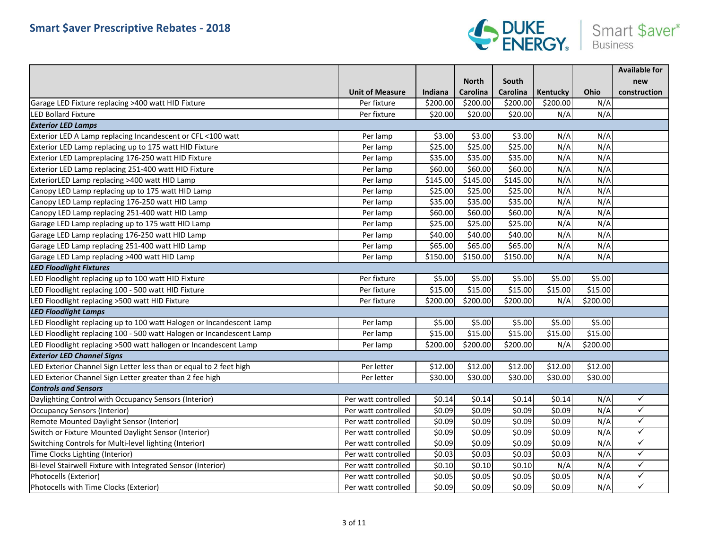

|                                                                      |                        |           |                 |          |          |          | <b>Available for</b> |
|----------------------------------------------------------------------|------------------------|-----------|-----------------|----------|----------|----------|----------------------|
|                                                                      |                        |           | <b>North</b>    | South    |          |          | new                  |
|                                                                      | <b>Unit of Measure</b> | Indiana   | <b>Carolina</b> | Carolina | Kentucky | Ohio     | construction         |
| Garage LED Fixture replacing >400 watt HID Fixture                   | Per fixture            | \$200.00] | \$200.00        | \$200.00 | \$200.00 | N/A      |                      |
| <b>LED Bollard Fixture</b>                                           | Per fixture            | \$20.00   | \$20.00         | \$20.00  | N/A      | N/A      |                      |
| <b>Exterior LED Lamps</b>                                            |                        |           |                 |          |          |          |                      |
| Exterior LED A Lamp replacing Incandescent or CFL <100 watt          | Per lamp               | \$3.00    | \$3.00          | \$3.00   | N/A      | N/A      |                      |
| Exterior LED Lamp replacing up to 175 watt HID Fixture               | Per lamp               | \$25.00   | \$25.00         | \$25.00  | N/A      | N/A      |                      |
| Exterior LED Lampreplacing 176-250 watt HID Fixture                  | Per lamp               | \$35.00   | \$35.00         | \$35.00  | N/A      | N/A      |                      |
| Exterior LED Lamp replacing 251-400 watt HID Fixture                 | Per lamp               | \$60.00   | \$60.00         | \$60.00  | N/A      | N/A      |                      |
| ExteriorLED Lamp replacing >400 watt HID Lamp                        | Per lamp               | \$145.00  | \$145.00        | \$145.00 | N/A      | N/A      |                      |
| Canopy LED Lamp replacing up to 175 watt HID Lamp                    | Per lamp               | \$25.00   | \$25.00         | \$25.00  | N/A      | N/A      |                      |
| Canopy LED Lamp replacing 176-250 watt HID Lamp                      | Per lamp               | \$35.00   | \$35.00         | \$35.00  | N/A      | N/A      |                      |
| Canopy LED Lamp replacing 251-400 watt HID Lamp                      | Per lamp               | \$60.00   | \$60.00         | \$60.00  | N/A      | N/A      |                      |
| Garage LED Lamp replacing up to 175 watt HID Lamp                    | Per lamp               | \$25.00   | \$25.00         | \$25.00  | N/A      | N/A      |                      |
| Garage LED Lamp replacing 176-250 watt HID Lamp                      | Per lamp               | \$40.00   | \$40.00         | \$40.00  | N/A      | N/A      |                      |
| Garage LED Lamp replacing 251-400 watt HID Lamp                      | Per lamp               | \$65.00   | \$65.00         | \$65.00  | N/A      | N/A      |                      |
| Garage LED Lamp replacing >400 watt HID Lamp                         | Per lamp               | \$150.00  | \$150.00        | \$150.00 | N/A      | N/A      |                      |
| <b>LED Floodlight Fixtures</b>                                       |                        |           |                 |          |          |          |                      |
| LED Floodlight replacing up to 100 watt HID Fixture                  | Per fixture            | \$5.00    | \$5.00          | \$5.00   | \$5.00   | \$5.00   |                      |
| LED Floodlight replacing 100 - 500 watt HID Fixture                  | Per fixture            | \$15.00   | \$15.00         | \$15.00  | \$15.00  | \$15.00  |                      |
| LED Floodlight replacing >500 watt HID Fixture                       | Per fixture            | \$200.00  | \$200.00        | \$200.00 | N/A      | \$200.00 |                      |
| <b>LED Floodlight Lamps</b>                                          |                        |           |                 |          |          |          |                      |
| LED Floodlight replacing up to 100 watt Halogen or Incandescent Lamp | Per lamp               | \$5.00    | \$5.00          | \$5.00   | \$5.00   | \$5.00   |                      |
| LED Floodlight replacing 100 - 500 watt Halogen or Incandescent Lamp | Per lamp               | \$15.00   | \$15.00         | \$15.00  | \$15.00  | \$15.00  |                      |
| LED Floodlight replacing >500 watt hallogen or Incandescent Lamp     | Per lamp               | \$200.00  | \$200.00        | \$200.00 | N/A      | \$200.00 |                      |
| <b>Exterior LED Channel Signs</b>                                    |                        |           |                 |          |          |          |                      |
| LED Exterior Channel Sign Letter less than or equal to 2 feet high   | Per letter             | \$12.00   | \$12.00         | \$12.00  | \$12.00  | \$12.00  |                      |
| LED Exterior Channel Sign Letter greater than 2 fee high             | Per letter             | \$30.00   | \$30.00         | \$30.00  | \$30.00  | \$30.00  |                      |
| <b>Controls and Sensors</b>                                          |                        |           |                 |          |          |          |                      |
| Daylighting Control with Occupancy Sensors (Interior)                | Per watt controlled    | \$0.14    | \$0.14]         | \$0.14   | \$0.14   | N/A      | ✓                    |
| Occupancy Sensors (Interior)                                         | Per watt controlled    | \$0.09    | \$0.09          | \$0.09   | \$0.09   | N/A      | ✓                    |
| Remote Mounted Daylight Sensor (Interior)                            | Per watt controlled    | \$0.09    | \$0.09          | \$0.09   | \$0.09   | N/A      | ✓                    |
| Switch or Fixture Mounted Daylight Sensor (Interior)                 | Per watt controlled    | \$0.09    | \$0.09          | \$0.09   | \$0.09   | N/A      | ✓                    |
| Switching Controls for Multi-level lighting (Interior)               | Per watt controlled    | \$0.09    | \$0.09          | \$0.09   | \$0.09   | N/A      | $\checkmark$         |
| Time Clocks Lighting (Interior)                                      | Per watt controlled    | \$0.03    | \$0.03          | \$0.03   | \$0.03   | N/A      | $\checkmark$         |
| Bi-level Stairwell Fixture with Integrated Sensor (Interior)         | Per watt controlled    | \$0.10    | \$0.10          | \$0.10   | N/A      | N/A      | ✓                    |
| Photocells (Exterior)                                                | Per watt controlled    | \$0.05    | \$0.05          | \$0.05   | \$0.05   | N/A      | $\checkmark$         |
| Photocells with Time Clocks (Exterior)                               | Per watt controlled    | \$0.09    | \$0.09          | \$0.09   | \$0.09   | N/A      | $\checkmark$         |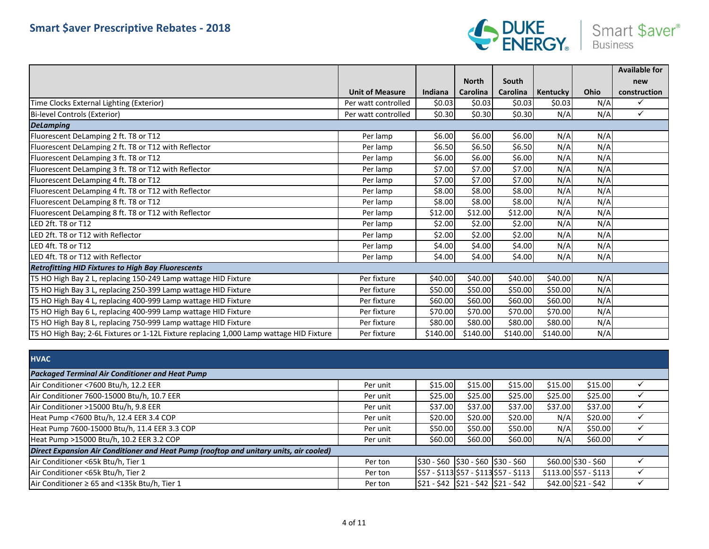

|                                                                                         |                        |          |                 |                 |                 |      | <b>Available for</b> |
|-----------------------------------------------------------------------------------------|------------------------|----------|-----------------|-----------------|-----------------|------|----------------------|
|                                                                                         |                        |          | <b>North</b>    | South           |                 |      | new                  |
|                                                                                         | <b>Unit of Measure</b> | Indiana  | <b>Carolina</b> | <b>Carolina</b> | <b>Kentucky</b> | Ohio | construction         |
| Time Clocks External Lighting (Exterior)                                                | Per watt controlled    | \$0.03   | \$0.03          | \$0.03          | \$0.03          | N/A  | $\checkmark$         |
| Bi-level Controls (Exterior)                                                            | Per watt controlled    | \$0.30   | \$0.30          | \$0.30          | N/A             | N/A  | $\checkmark$         |
| <b>DeLamping</b>                                                                        |                        |          |                 |                 |                 |      |                      |
| Fluorescent DeLamping 2 ft. T8 or T12                                                   | Per lamp               | \$6.00   | \$6.00          | \$6.00          | N/A             | N/A  |                      |
| Fluorescent DeLamping 2 ft. T8 or T12 with Reflector                                    | Per lamp               | \$6.50   | \$6.50          | \$6.50          | N/A             | N/A  |                      |
| Fluorescent DeLamping 3 ft. T8 or T12                                                   | Per lamp               | \$6.00   | \$6.00          | \$6.00          | N/A             | N/A  |                      |
| Fluorescent DeLamping 3 ft. T8 or T12 with Reflector                                    | Per lamp               | \$7.00   | \$7.00          | \$7.00          | N/A             | N/A  |                      |
| Fluorescent DeLamping 4 ft. T8 or T12                                                   | Per lamp               | \$7.00   | \$7.00          | \$7.00          | N/A             | N/A  |                      |
| Fluorescent DeLamping 4 ft. T8 or T12 with Reflector                                    | Per lamp               | \$8.00   | \$8.00          | \$8.00          | N/A             | N/A  |                      |
| Fluorescent DeLamping 8 ft. T8 or T12                                                   | Per lamp               | \$8.00   | \$8.00          | \$8.00          | N/A             | N/A  |                      |
| Fluorescent DeLamping 8 ft. T8 or T12 with Reflector                                    | Per lamp               | \$12.00  | \$12.00         | \$12.00         | N/A             | N/A  |                      |
| LED 2ft. T8 or T12                                                                      | Per lamp               | \$2.00   | \$2.00          | \$2.00          | N/A             | N/A  |                      |
| LED 2ft. T8 or T12 with Reflector                                                       | Per lamp               | \$2.00   | \$2.00          | \$2.00          | N/A             | N/A  |                      |
| LED 4ft. T8 or T12                                                                      | Per lamp               | \$4.00   | \$4.00          | \$4.00          | N/A             | N/A  |                      |
| LED 4ft. T8 or T12 with Reflector                                                       | Per lamp               | \$4.00   | \$4.00          | \$4.00          | N/A             | N/A  |                      |
| <b>Retrofitting HID Fixtures to High Bay Fluorescents</b>                               |                        |          |                 |                 |                 |      |                      |
| T5 HO High Bay 2 L, replacing 150-249 Lamp wattage HID Fixture                          | Per fixture            | \$40.00  | \$40.00         | \$40.00         | \$40.00         | N/A  |                      |
| T5 HO High Bay 3 L, replacing 250-399 Lamp wattage HID Fixture                          | Per fixture            | \$50.00  | \$50.00         | \$50.00         | \$50.00         | N/A  |                      |
| T5 HO High Bay 4 L, replacing 400-999 Lamp wattage HID Fixture                          | Per fixture            | \$60.00  | \$60.00         | \$60.00         | \$60.00         | N/A  |                      |
| T5 HO High Bay 6 L, replacing 400-999 Lamp wattage HID Fixture                          | Per fixture            | \$70.00  | \$70.00         | \$70.00         | \$70.00         | N/A  |                      |
| T5 HO High Bay 8 L, replacing 750-999 Lamp wattage HID Fixture                          | Per fixture            | \$80.00  | \$80.00         | \$80.00         | \$80.00         | N/A  |                      |
| T5 HO High Bay; 2-6L Fixtures or 1-12L Fixture replacing 1,000 Lamp wattage HID Fixture | Per fixture            | \$140.00 | \$140.00        | \$140.00        | \$140.00        | N/A  |                      |

| <b>HVAC</b>                                                                            |          |                                                                   |         |                                       |         |                        |  |
|----------------------------------------------------------------------------------------|----------|-------------------------------------------------------------------|---------|---------------------------------------|---------|------------------------|--|
| <b>Packaged Terminal Air Conditioner and Heat Pump</b>                                 |          |                                                                   |         |                                       |         |                        |  |
| Air Conditioner <7600 Btu/h, 12.2 EER                                                  | Per unit | \$15.00                                                           | \$15.00 | \$15.00                               | \$15.00 | \$15.00                |  |
| Air Conditioner 7600-15000 Btu/h, 10.7 EER                                             | Per unit | \$25.00                                                           | \$25.00 | \$25.00                               | \$25.00 | \$25.00                |  |
| Air Conditioner >15000 Btu/h, 9.8 EER                                                  | Per unit | \$37.00                                                           | \$37.00 | \$37.00                               | \$37.00 | \$37.00                |  |
| Heat Pump <7600 Btu/h, 12.4 EER 3.4 COP                                                | Per unit | \$20.00                                                           | \$20.00 | \$20.00                               | N/A     | \$20.00                |  |
| Heat Pump 7600-15000 Btu/h, 11.4 EER 3.3 COP                                           | Per unit | \$50.00                                                           | \$50.00 | \$50.00                               | N/A     | \$50.00                |  |
| Heat Pump >15000 Btu/h, 10.2 EER 3.2 COP                                               | Per unit | \$60.00                                                           | \$60.00 | \$60.00                               | N/A     | \$60.00                |  |
| Direct Expansion Air Conditioner and Heat Pump (rooftop and unitary units, air cooled) |          |                                                                   |         |                                       |         |                        |  |
| Air Conditioner <65k Btu/h, Tier 1                                                     | Per ton  | $\frac{1}{2}$ \$30 - \$60 $\frac{1}{2}$ \$30 - \$60 $\frac{1}{2}$ |         |                                       |         | $$60.00$ \$30 - \$60   |  |
| Air Conditioner <65k Btu/h, Tier 2                                                     | Per ton  |                                                                   |         | 557 - \$113 \$57 - \$113 \$57 - \$113 |         | $$113.00$ \$57 - \$113 |  |
| Air Conditioner $\geq 65$ and <135k Btu/h, Tier 1                                      | Per ton  | \$21 - \$42  \$21 - \$42  \$21 - \$42                             |         |                                       |         | $$42.00$ $$21 - $42$   |  |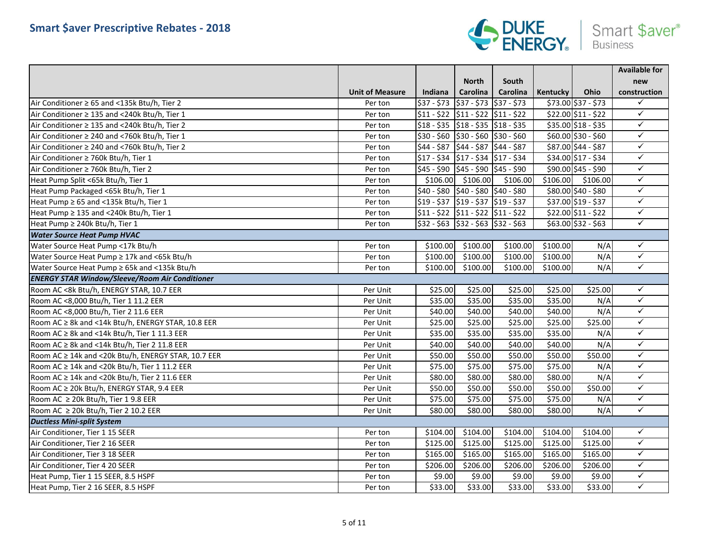

|                                                       |                        |                                                                         |                                                     |          |                 |                      | <b>Available for</b> |
|-------------------------------------------------------|------------------------|-------------------------------------------------------------------------|-----------------------------------------------------|----------|-----------------|----------------------|----------------------|
|                                                       |                        |                                                                         | <b>North</b>                                        | South    |                 |                      | new                  |
|                                                       | <b>Unit of Measure</b> | Indiana                                                                 | <b>Carolina</b>                                     | Carolina | <b>Kentucky</b> | Ohio                 | construction         |
| Air Conditioner $\geq 65$ and <135k Btu/h, Tier 2     | Per ton                | $$37 - $73$                                                             | $\frac{1}{2}$ \$37 - \$73 $\frac{1}{2}$ \$37 - \$73 |          |                 | $$73.00$ $$37 - $73$ | $\checkmark$         |
| Air Conditioner ≥ 135 and <240k Btu/h, Tier 1         | Per ton                | \$11 - \$22  \$11 - \$22  \$11 - \$22                                   |                                                     |          |                 | $$22.00$ $$11 - $22$ | $\checkmark$         |
| Air Conditioner ≥ 135 and <240k Btu/h, Tier 2         | Per ton                |                                                                         | $$18 - $35$ $$18 - $35$ $$18 - $35$                 |          |                 | $$35.00$ $$18 - $35$ | $\checkmark$         |
| Air Conditioner ≥ 240 and <760k Btu/h, Tier 1         | Per ton                | \$30 - \$60                                                             | $\frac{1}{2}$ \$30 - \$60 $\frac{1}{2}$ \$30 - \$60 |          |                 | $$60.00$ \$30 - \$60 | $\checkmark$         |
| Air Conditioner ≥ 240 and <760k Btu/h, Tier 2         | Per ton                |                                                                         | $$44 - $87$ $$44 - $87$ $$44 - $87$                 |          |                 | $$87.00$ $$44 - $87$ | $\checkmark$         |
| Air Conditioner ≥ 760k Btu/h, Tier 1                  | Per ton                | $\frac{1}{2}$ \$34 $\frac{1}{2}$ \$17 - \$34 $\frac{1}{2}$ \$17 - \$34  |                                                     |          |                 | $$34.00$ $$17 - $34$ | $\checkmark$         |
| Air Conditioner ≥ 760k Btu/h, Tier 2                  | Per ton                | $$45 - $90$                                                             | $\frac{1}{2}$ \$45 - \$90 $\frac{1}{2}$ \$45 - \$90 |          |                 | $$90.00$ \$45 - \$90 | $\checkmark$         |
| Heat Pump Split <65k Btu/h, Tier 1                    | Per ton                | \$106.00                                                                | \$106.00                                            | \$106.00 | \$106.00        | \$106.00             | $\checkmark$         |
| Heat Pump Packaged <65k Btu/h, Tier 1                 | Per ton                | \$40 - \$80                                                             | $\frac{1}{2}40 - $80$ $$40 - $80$                   |          |                 | $$80.00$ \$40 - \$80 | $\checkmark$         |
| Heat Pump ≥ 65 and <135k Btu/h, Tier 1                | Per ton                |                                                                         | $$19 - $37$ $$19 - $37$ $$19 - $37$ $$19 - $37$     |          |                 | $$37.00$ $$19 - $37$ | $\checkmark$         |
| Heat Pump ≥ 135 and <240k Btu/h, Tier 1               | Per ton                | \$11 - \$22  \$11 - \$22  \$11 - \$22                                   |                                                     |          |                 | $$22.00$ $$11 - $22$ | $\checkmark$         |
| Heat Pump ≥ 240k Btu/h, Tier 1                        | Per ton                | $\frac{1}{5}$ 32 - \$63 $\frac{1}{5}$ 32 - \$63 $\frac{1}{5}$ 32 - \$63 |                                                     |          |                 | $$63.00$ \$32 - \$63 | $\checkmark$         |
| <b>Water Source Heat Pump HVAC</b>                    |                        |                                                                         |                                                     |          |                 |                      |                      |
| Water Source Heat Pump <17k Btu/h                     | Per ton                | \$100.00                                                                | \$100.00                                            | \$100.00 | \$100.00        | N/A                  | $\checkmark$         |
| Water Source Heat Pump ≥ 17k and <65k Btu/h           | Per ton                | \$100.00                                                                | \$100.00                                            | \$100.00 | \$100.00        | N/A                  | $\checkmark$         |
| Water Source Heat Pump ≥ 65k and <135k Btu/h          | Per ton                | \$100.00                                                                | \$100.00                                            | \$100.00 | \$100.00        | N/A                  | $\checkmark$         |
| <b>ENERGY STAR Window/Sleeve/Room Air Conditioner</b> |                        |                                                                         |                                                     |          |                 |                      |                      |
| Room AC <8k Btu/h, ENERGY STAR, 10.7 EER              | Per Unit               | \$25.00                                                                 | \$25.00                                             | \$25.00  | \$25.00         | \$25.00              | $\checkmark$         |
| Room AC <8,000 Btu/h, Tier 1 11.2 EER                 | Per Unit               | \$35.00                                                                 | \$35.00                                             | \$35.00  | \$35.00         | N/A                  | $\checkmark$         |
| Room AC <8,000 Btu/h, Tier 2 11.6 EER                 | Per Unit               | \$40.00                                                                 | \$40.00                                             | \$40.00  | \$40.00         | N/A                  | $\checkmark$         |
| Room AC ≥ 8k and <14k Btu/h, ENERGY STAR, 10.8 EER    | Per Unit               | \$25.00                                                                 | \$25.00                                             | \$25.00  | \$25.00         | \$25.00              | $\checkmark$         |
| Room AC ≥ 8k and <14k Btu/h, Tier 1 11.3 EER          | Per Unit               | \$35.00                                                                 | \$35.00                                             | \$35.00  | \$35.00         | N/A                  | $\checkmark$         |
| Room AC ≥ 8k and <14k Btu/h, Tier 2 11.8 EER          | Per Unit               | \$40.00                                                                 | \$40.00                                             | \$40.00  | \$40.00         | N/A                  | $\checkmark$         |
| Room AC ≥ 14k and <20k Btu/h, ENERGY STAR, 10.7 EER   | Per Unit               | \$50.00                                                                 | \$50.00                                             | \$50.00  | \$50.00         | \$50.00              | $\checkmark$         |
| Room AC ≥ 14k and <20k Btu/h, Tier 1 11.2 EER         | Per Unit               | \$75.00                                                                 | \$75.00                                             | \$75.00  | \$75.00         | N/A                  | $\checkmark$         |
| Room AC $\geq$ 14k and <20k Btu/h, Tier 2 11.6 EER    | Per Unit               | \$80.00                                                                 | \$80.00                                             | \$80.00  | \$80.00         | N/A                  | $\checkmark$         |
| Room AC ≥ 20k Btu/h, ENERGY STAR, 9.4 EER             | Per Unit               | \$50.00                                                                 | \$50.00                                             | \$50.00  | \$50.00         | \$50.00              | $\checkmark$         |
| Room AC ≥ 20k Btu/h, Tier 19.8 EER                    | Per Unit               | \$75.00                                                                 | \$75.00                                             | \$75.00  | \$75.00         | N/A                  | $\checkmark$         |
| Room AC $\geq$ 20k Btu/h, Tier 2 10.2 EER             | Per Unit               | \$80.00                                                                 | \$80.00                                             | \$80.00  | \$80.00         | N/A                  | $\checkmark$         |
| <b>Ductless Mini-split System</b>                     |                        |                                                                         |                                                     |          |                 |                      |                      |
| Air Conditioner, Tier 1 15 SEER                       | Per ton                | \$104.00                                                                | \$104.00                                            | \$104.00 | \$104.00        | \$104.00             | $\checkmark$         |
| Air Conditioner, Tier 2 16 SEER                       | Per ton                | \$125.00                                                                | \$125.00                                            | \$125.00 | \$125.00        | \$125.00             | $\checkmark$         |
| Air Conditioner, Tier 3 18 SEER                       | Per ton                | \$165.00                                                                | \$165.00                                            | \$165.00 | \$165.00        | \$165.00             | $\checkmark$         |
| Air Conditioner, Tier 4 20 SEER                       | Per ton                | \$206.00                                                                | \$206.00                                            | \$206.00 | \$206.00        | \$206.00             | $\checkmark$         |
| Heat Pump, Tier 1 15 SEER, 8.5 HSPF                   | Per ton                | \$9.00                                                                  | \$9.00                                              | \$9.00   | \$9.00          | \$9.00               | $\checkmark$         |
| Heat Pump, Tier 2 16 SEER, 8.5 HSPF                   | Per ton                | \$33.00                                                                 | \$33.00                                             | \$33.00  | \$33.00         | \$33.00              | $\checkmark$         |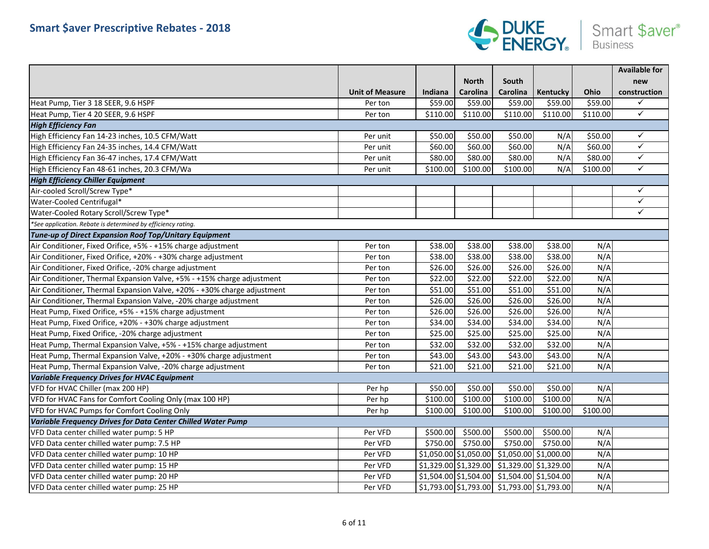

|                                                                         |                        |           |                     |                                                                                                                                   |                     |          | <b>Available for</b> |
|-------------------------------------------------------------------------|------------------------|-----------|---------------------|-----------------------------------------------------------------------------------------------------------------------------------|---------------------|----------|----------------------|
|                                                                         |                        |           | <b>North</b>        | South                                                                                                                             |                     |          | new                  |
|                                                                         | <b>Unit of Measure</b> | Indiana   | <b>Carolina</b>     | <b>Carolina</b>                                                                                                                   | <b>Kentucky</b>     | Ohio     | construction         |
| Heat Pump, Tier 3 18 SEER, 9.6 HSPF                                     | Per ton                | \$59.00   | \$59.00             | \$59.00                                                                                                                           | \$59.00             | \$59.00  | ✓                    |
| Heat Pump, Tier 4 20 SEER, 9.6 HSPF                                     | Per ton                | \$110.00  | \$110.00            | \$110.00                                                                                                                          | \$110.00            | \$110.00 | $\checkmark$         |
| <b>High Efficiency Fan</b>                                              |                        |           |                     |                                                                                                                                   |                     |          |                      |
| High Efficiency Fan 14-23 inches, 10.5 CFM/Watt                         | Per unit               | \$50.00   | \$50.00             | \$50.00                                                                                                                           | N/A                 | \$50.00  | ✓                    |
| High Efficiency Fan 24-35 inches, 14.4 CFM/Watt                         | Per unit               | \$60.00   | \$60.00             | \$60.00                                                                                                                           | N/A                 | \$60.00  | ✓                    |
| High Efficiency Fan 36-47 inches, 17.4 CFM/Watt                         | Per unit               | \$80.00   | \$80.00             | \$80.00                                                                                                                           | N/A                 | \$80.00  | $\checkmark$         |
| High Efficiency Fan 48-61 inches, 20.3 CFM/Wa                           | Per unit               | \$100.00  | \$100.00            | \$100.00                                                                                                                          | N/A                 | \$100.00 | $\checkmark$         |
| <b>High Efficiency Chiller Equipment</b>                                |                        |           |                     |                                                                                                                                   |                     |          |                      |
| Air-cooled Scroll/Screw Type*                                           |                        |           |                     |                                                                                                                                   |                     |          | ✓                    |
| Water-Cooled Centrifugal*                                               |                        |           |                     |                                                                                                                                   |                     |          | ✓                    |
| Water-Cooled Rotary Scroll/Screw Type*                                  |                        |           |                     |                                                                                                                                   |                     |          | $\checkmark$         |
| *See application. Rebate is determined by efficiency rating.            |                        |           |                     |                                                                                                                                   |                     |          |                      |
| Tune-up of Direct Expansion Roof Top/Unitary Equipment                  |                        |           |                     |                                                                                                                                   |                     |          |                      |
| Air Conditioner, Fixed Orifice, +5% - +15% charge adjustment            | Per ton                | \$38.00   | \$38.00             | \$38.00                                                                                                                           | \$38.00             | N/A      |                      |
| Air Conditioner, Fixed Orifice, +20% - +30% charge adjustment           | Per ton                | \$38.00   | \$38.00             | \$38.00                                                                                                                           | \$38.00             | N/A      |                      |
| Air Conditioner, Fixed Orifice, -20% charge adjustment                  | Per ton                | \$26.00   | \$26.00             | \$26.00                                                                                                                           | \$26.00             | N/A      |                      |
| Air Conditioner, Thermal Expansion Valve, +5% - +15% charge adjustment  | Per ton                | \$22.00   | \$22.00             | \$22.00                                                                                                                           | \$22.00             | N/A      |                      |
| Air Conditioner, Thermal Expansion Valve, +20% - +30% charge adjustment | Per ton                | \$51.00   | \$51.00             | \$51.00                                                                                                                           | \$51.00             | N/A      |                      |
| Air Conditioner, Thermal Expansion Valve, -20% charge adjustment        | Per ton                | \$26.00   | \$26.00             | \$26.00                                                                                                                           | \$26.00             | N/A      |                      |
| Heat Pump, Fixed Orifice, +5% - +15% charge adjustment                  | Per ton                | \$26.00   | \$26.00             | \$26.00                                                                                                                           | \$26.00             | N/A      |                      |
| Heat Pump, Fixed Orifice, +20% - +30% charge adjustment                 | Per ton                | \$34.00   | \$34.00             | \$34.00                                                                                                                           | \$34.00             | N/A      |                      |
| Heat Pump, Fixed Orifice, -20% charge adjustment                        | Per ton                | \$25.00   | \$25.00             | \$25.00                                                                                                                           | \$25.00             | N/A      |                      |
| Heat Pump, Thermal Expansion Valve, +5% - +15% charge adjustment        | Per ton                | \$32.00   | \$32.00             | \$32.00                                                                                                                           | \$32.00             | N/A      |                      |
| Heat Pump, Thermal Expansion Valve, +20% - +30% charge adjustment       | Per ton                | \$43.00   | \$43.00             | \$43.00                                                                                                                           | \$43.00             | N/A      |                      |
| Heat Pump, Thermal Expansion Valve, -20% charge adjustment              | Per ton                | \$21.00   | \$21.00             | \$21.00                                                                                                                           | \$21.00             | N/A      |                      |
| <b>Variable Frequency Drives for HVAC Equipment</b>                     |                        |           |                     |                                                                                                                                   |                     |          |                      |
| VFD for HVAC Chiller (max 200 HP)                                       | Per hp                 | \$50.00   | \$50.00             | \$50.00                                                                                                                           | \$50.00             | N/A      |                      |
| VFD for HVAC Fans for Comfort Cooling Only (max 100 HP)                 | Per hp                 | \$100.00  | \$100.00            | \$100.00                                                                                                                          | \$100.00            | N/A      |                      |
| VFD for HVAC Pumps for Comfort Cooling Only                             | Per hp                 |           | $$100.00$ $$100.00$ |                                                                                                                                   | $$100.00$ $$100.00$ | \$100.00 |                      |
| Variable Frequency Drives for Data Center Chilled Water Pump            |                        |           |                     |                                                                                                                                   |                     |          |                      |
| VFD Data center chilled water pump: 5 HP                                | Per VFD                | \$500.00] | \$500.00            | \$500.00                                                                                                                          | \$500.00            | N/A      |                      |
| VFD Data center chilled water pump: 7.5 HP                              | Per VFD                | \$750.00  | \$750.00            | \$750.00                                                                                                                          | \$750.00            | N/A      |                      |
| VFD Data center chilled water pump: 10 HP                               | Per VFD                |           |                     | $\vert$ \$1,050.00 $\vert$ \$1,050.00 $\vert$ \$1,050.00 $\vert$ \$1,000.00                                                       |                     | N/A      |                      |
| VFD Data center chilled water pump: 15 HP                               | Per VFD                |           |                     | $\vert$ \$1,329.00 \$1,329.00 \$1,329.00 \$1,329.00                                                                               |                     | N/A      |                      |
| VFD Data center chilled water pump: 20 HP                               | Per VFD                |           |                     | $$1,504.00$ $$1,504.00$ $$1,504.00$ $$1,504.00$                                                                                   |                     | N/A      |                      |
| VFD Data center chilled water pump: 25 HP                               | Per VFD                |           |                     | $\left  \frac{1}{2}$ (1,793.00 $\left  \frac{1}{2}$ (1,793.00 $\left  \frac{1}{2} \right $ (1,793.00 $\left  \frac{1}{2} \right $ |                     | N/A      |                      |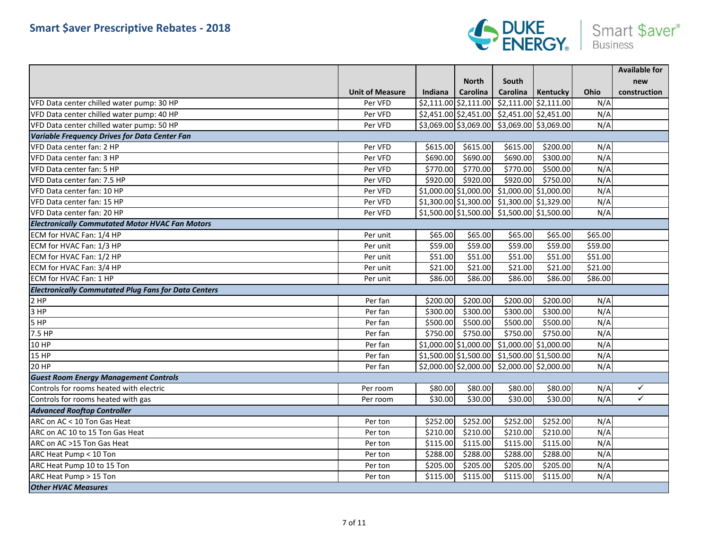

|                                                             |                        |          |                         |                                                                                         |                         |         | <b>Available for</b> |
|-------------------------------------------------------------|------------------------|----------|-------------------------|-----------------------------------------------------------------------------------------|-------------------------|---------|----------------------|
|                                                             |                        |          | <b>North</b>            | South                                                                                   |                         |         | new                  |
|                                                             | <b>Unit of Measure</b> | Indiana  | <b>Carolina</b>         | <b>Carolina</b>                                                                         | Kentucky                | Ohio    | construction         |
| VFD Data center chilled water pump: 30 HP                   | Per VFD                |          | $$2,111.00$ $$2,111.00$ |                                                                                         | $$2,111.00$ $$2,111.00$ | N/A     |                      |
| VFD Data center chilled water pump: 40 HP                   | Per VFD                |          |                         | $\frac{1}{2}$ ,451.00 $\frac{2}{2}$ ,451.00 $\frac{2}{2}$ ,451.00 $\frac{2}{2}$ ,451.00 |                         | N/A     |                      |
| VFD Data center chilled water pump: 50 HP                   | Per VFD                |          |                         | $\frac{1}{2}$ \$3,069.00 \$3,069.00 \$3,069.00 \$3,069.00                               |                         | N/A     |                      |
| <b>Variable Frequency Drives for Data Center Fan</b>        |                        |          |                         |                                                                                         |                         |         |                      |
| VFD Data center fan: 2 HP                                   | Per VFD                | \$615.00 | \$615.00                | \$615.00                                                                                | \$200.00                | N/A     |                      |
| VFD Data center fan: 3 HP                                   | Per VFD                | \$690.00 | \$690.00                | \$690.00                                                                                | \$300.00                | N/A     |                      |
| VFD Data center fan: 5 HP                                   | Per VFD                | \$770.00 | \$770.00                | \$770.00                                                                                | \$500.00                | N/A     |                      |
| VFD Data center fan: 7.5 HP                                 | Per VFD                | \$920.00 | \$920.00                | \$920.00                                                                                | \$750.00                | N/A     |                      |
| VFD Data center fan: 10 HP                                  | Per VFD                |          |                         | $$1,000.00$ $$1,000.00$ $$1,000.00$ $$1,000.00$                                         |                         | N/A     |                      |
| VFD Data center fan: 15 HP                                  | Per VFD                |          |                         | $\frac{1}{2}$ \$1,300.00 \$1,300.00 \$1,300.00 \$1,329.00                               |                         | N/A     |                      |
| VFD Data center fan: 20 HP                                  | Per VFD                |          |                         | $$1,500.00$ $$1,500.00$ $$1,500.00$ $$1,500.00$                                         |                         | N/A     |                      |
| <b>Electronically Commutated Motor HVAC Fan Motors</b>      |                        |          |                         |                                                                                         |                         |         |                      |
| ECM for HVAC Fan: 1/4 HP                                    | Per unit               | \$65.00  | \$65.00                 | \$65.00                                                                                 | \$65.00                 | \$65.00 |                      |
| ECM for HVAC Fan: 1/3 HP                                    | Per unit               | \$59.00  | \$59.00                 | \$59.00                                                                                 | \$59.00                 | \$59.00 |                      |
| ECM for HVAC Fan: 1/2 HP                                    | Per unit               | \$51.00  | \$51.00                 | \$51.00                                                                                 | \$51.00                 | \$51.00 |                      |
| ECM for HVAC Fan: 3/4 HP                                    | Per unit               | \$21.00  | \$21.00                 | \$21.00                                                                                 | \$21.00                 | \$21.00 |                      |
| ECM for HVAC Fan: 1 HP                                      | Per unit               | \$86.00  | \$86.00                 | \$86.00                                                                                 | \$86.00                 | \$86.00 |                      |
| <b>Electronically Commutated Plug Fans for Data Centers</b> |                        |          |                         |                                                                                         |                         |         |                      |
| 2HP                                                         | Per fan                | \$200.00 | \$200.00                | \$200.00                                                                                | \$200.00                | N/A     |                      |
| 3 HP                                                        | Per fan                | \$300.00 | \$300.00                | \$300.00                                                                                | \$300.00                | N/A     |                      |
| 5 HP                                                        | Per fan                | \$500.00 | \$500.00                | \$500.00                                                                                | \$500.00                | N/A     |                      |
| 7.5 HP                                                      | Per fan                | \$750.00 | \$750.00                | \$750.00                                                                                | \$750.00                | N/A     |                      |
| 10 HP                                                       | Per fan                |          |                         | $\vert$ \$1,000.00 \$1,000.00 \$1,000.00 \$1,000.00                                     |                         | N/A     |                      |
| <b>15 HP</b>                                                | Per fan                |          |                         | $$1,500.00$   $$1,500.00$   $$1,500.00$   $$1,500.00$                                   |                         | N/A     |                      |
| <b>20 HP</b>                                                | Per fan                |          |                         | $\vert$ \$2,000.00 $\vert$ \$2,000.00 $\vert$ \$2,000.00 $\vert$ \$2,000.00             |                         | N/A     |                      |
| <b>Guest Room Energy Management Controls</b>                |                        |          |                         |                                                                                         |                         |         |                      |
| Controls for rooms heated with electric                     | Per room               | \$80.00  | \$80.00                 | \$80.00                                                                                 | \$80.00                 | N/A     | ✓                    |
| Controls for rooms heated with gas                          | Per room               | \$30.00  | \$30.00                 | \$30.00                                                                                 | \$30.00                 | N/A     | $\checkmark$         |
| <b>Advanced Rooftop Controller</b>                          |                        |          |                         |                                                                                         |                         |         |                      |
| ARC on AC < 10 Ton Gas Heat                                 | Per ton                | \$252.00 | \$252.00                | \$252.00                                                                                | \$252.00                | N/A     |                      |
| ARC on AC 10 to 15 Ton Gas Heat                             | Per ton                | \$210.00 | \$210.00                | \$210.00                                                                                | \$210.00                | N/A     |                      |
| ARC on AC >15 Ton Gas Heat                                  | Per ton                | \$115.00 | \$115.00                | \$115.00                                                                                | \$115.00                | N/A     |                      |
| ARC Heat Pump < 10 Ton                                      | Per ton                | \$288.00 | \$288.00                | \$288.00                                                                                | \$288.00                | N/A     |                      |
| ARC Heat Pump 10 to 15 Ton                                  | Per ton                | \$205.00 | \$205.00                | \$205.00                                                                                | \$205.00                | N/A     |                      |
| ARC Heat Pump > 15 Ton                                      | Per ton                | \$115.00 | \$115.00                | \$115.00                                                                                | \$115.00                | N/A     |                      |
| <b>Other HVAC Measures</b>                                  |                        |          |                         |                                                                                         |                         |         |                      |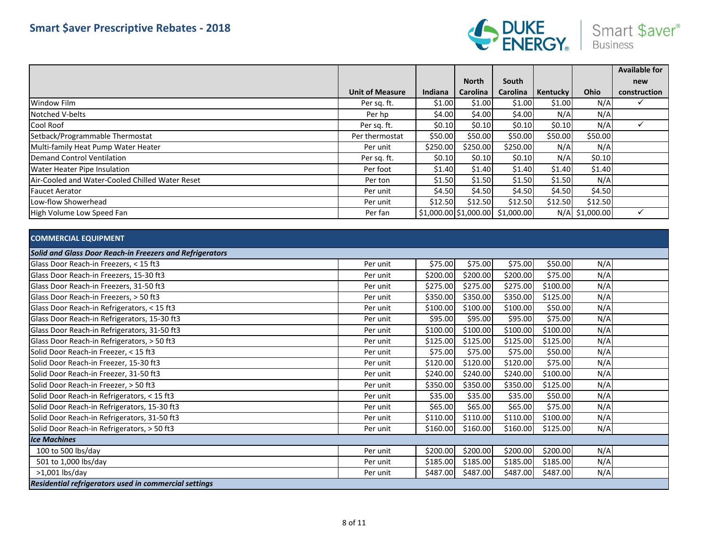

|                                                 |                        |          |                        |            |          |                  | <b>Available for</b> |
|-------------------------------------------------|------------------------|----------|------------------------|------------|----------|------------------|----------------------|
|                                                 |                        |          | <b>North</b>           | South      |          |                  | new                  |
|                                                 | <b>Unit of Measure</b> | Indiana  | Carolina               | Carolina   | Kentucky | Ohio             | construction         |
| <b>Window Film</b>                              | Per sq. ft.            | \$1.00   | \$1.00                 | \$1.00     | \$1.00   | N/A              |                      |
| Notched V-belts                                 | Per hp                 | \$4.00   | \$4.00                 | \$4.00     | N/A      | N/A              |                      |
| Cool Roof                                       | Per sq. ft.            | \$0.10   | \$0.10                 | \$0.10     | \$0.10   | N/A              |                      |
| Setback/Programmable Thermostat                 | Per thermostat         | \$50.00  | \$50.00                | \$50.00    | \$50.00  | \$50.00          |                      |
| Multi-family Heat Pump Water Heater             | Per unit               | \$250.00 | \$250.00               | \$250.00   | N/A      | N/A              |                      |
| Demand Control Ventilation                      | Per sq. ft.            | \$0.10   | \$0.10                 | \$0.10     | N/A      | \$0.10           |                      |
| <b>Water Heater Pipe Insulation</b>             | Per foot               | \$1.40   | \$1.40                 | \$1.40     | \$1.40   | \$1.40           |                      |
| Air-Cooled and Water-Cooled Chilled Water Reset | Per ton                | \$1.50   | \$1.50                 | \$1.50     | \$1.50   | N/A              |                      |
| Faucet Aerator                                  | Per unit               | \$4.50   | \$4.50                 | \$4.50     | \$4.50   | \$4.50           |                      |
| Low-flow Showerhead                             | Per unit               | \$12.50  | \$12.50                | \$12.50    | \$12.50  | \$12.50          |                      |
| High Volume Low Speed Fan                       | Per fan                |          | $$1,000.00$ \$1,000.00 | \$1,000.00 |          | $N/A$ \$1,000.00 |                      |

## **COMMERCIAL EQUIPMENT**

| Solid and Glass Door Reach-in Freezers and Refrigerators |          |           |          |          |           |     |  |
|----------------------------------------------------------|----------|-----------|----------|----------|-----------|-----|--|
| Glass Door Reach-in Freezers, < 15 ft3                   | Per unit | \$75.00   | \$75.00  | \$75.00  | \$50.00   | N/A |  |
| Glass Door Reach-in Freezers, 15-30 ft3                  | Per unit | \$200.00] | \$200.00 | \$200.00 | \$75.00   | N/A |  |
| Glass Door Reach-in Freezers, 31-50 ft3                  | Per unit | \$275.00  | \$275.00 | \$275.00 | \$100.00  | N/A |  |
| Glass Door Reach-in Freezers, > 50 ft3                   | Per unit | \$350.00  | \$350.00 | \$350.00 | \$125.00  | N/A |  |
| Glass Door Reach-in Refrigerators, < 15 ft3              | Per unit | \$100.00  | \$100.00 | \$100.00 | \$50.00   | N/A |  |
| Glass Door Reach-in Refrigerators, 15-30 ft3             | Per unit | \$95.00   | \$95.00  | \$95.00  | \$75.00   | N/A |  |
| Glass Door Reach-in Refrigerators, 31-50 ft3             | Per unit | \$100.00] | \$100.00 | \$100.00 | \$100.00  | N/A |  |
| Glass Door Reach-in Refrigerators, > 50 ft3              | Per unit | \$125.00  | \$125.00 | \$125.00 | \$125.00  | N/A |  |
| Solid Door Reach-in Freezer, < 15 ft3                    | Per unit | \$75.00   | \$75.00  | \$75.00  | \$50.00   | N/A |  |
| Solid Door Reach-in Freezer, 15-30 ft3                   | Per unit | \$120.00  | \$120.00 | \$120.00 | \$75.00   | N/A |  |
| Solid Door Reach-in Freezer, 31-50 ft3                   | Per unit | \$240.00  | \$240.00 | \$240.00 | \$100.00  | N/A |  |
| Solid Door Reach-in Freezer, > 50 ft3                    | Per unit | \$350.00  | \$350.00 | \$350.00 | \$125.00  | N/A |  |
| Solid Door Reach-in Refrigerators, < 15 ft3              | Per unit | \$35.00   | \$35.00  | \$35.00  | \$50.00   | N/A |  |
| Solid Door Reach-in Refrigerators, 15-30 ft3             | Per unit | \$65.00   | \$65.00  | \$65.00  | \$75.00   | N/A |  |
| Solid Door Reach-in Refrigerators, 31-50 ft3             | Per unit | \$110.00  | \$110.00 | \$110.00 | \$100.00  | N/A |  |
| Solid Door Reach-in Refrigerators, > 50 ft3              | Per unit | \$160.00  | \$160.00 | \$160.00 | \$125.00  | N/A |  |
| <b>Ice Machines</b>                                      |          |           |          |          |           |     |  |
| 100 to 500 lbs/day                                       | Per unit | \$200.00] | \$200.00 | \$200.00 | \$200.00] | N/A |  |
| 501 to 1,000 lbs/day                                     | Per unit | \$185.00  | \$185.00 | \$185.00 | \$185.00  | N/A |  |
| $>1,001$ lbs/day                                         | Per unit | \$487.00  | \$487.00 | \$487.00 | \$487.00  | N/A |  |
| Residential refrigerators used in commercial settings    |          |           |          |          |           |     |  |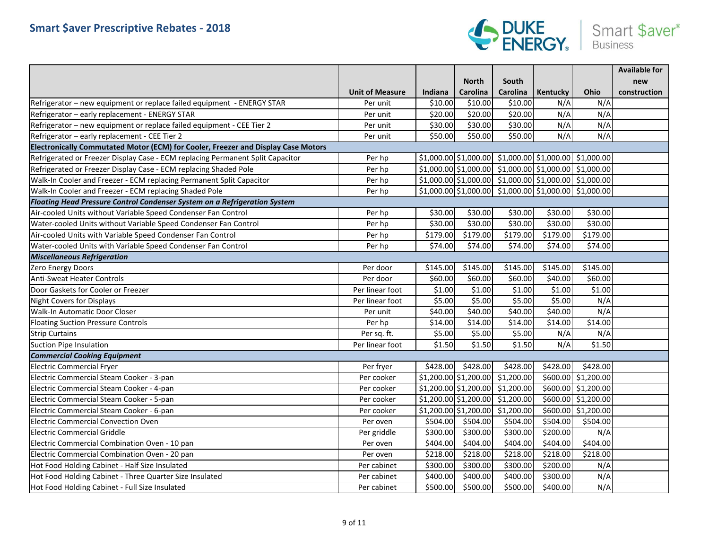

|                                                                                   |                        |          |                       |                                                                                                |                 |                                                             | <b>Available for</b> |
|-----------------------------------------------------------------------------------|------------------------|----------|-----------------------|------------------------------------------------------------------------------------------------|-----------------|-------------------------------------------------------------|----------------------|
|                                                                                   |                        |          | <b>North</b>          | South                                                                                          |                 |                                                             | new                  |
|                                                                                   | <b>Unit of Measure</b> | Indiana  | <b>Carolina</b>       | Carolina                                                                                       | <b>Kentucky</b> | Ohio                                                        | construction         |
| Refrigerator - new equipment or replace failed equipment - ENERGY STAR            | Per unit               | \$10.00  | \$10.00               | \$10.00                                                                                        | N/A             | N/A                                                         |                      |
| Refrigerator - early replacement - ENERGY STAR                                    | Per unit               | \$20.00  | \$20.00               | \$20.00                                                                                        | N/A             | N/A                                                         |                      |
| Refrigerator - new equipment or replace failed equipment - CEE Tier 2             | Per unit               | \$30.00  | \$30.00               | \$30.00                                                                                        | N/A             | N/A                                                         |                      |
| Refrigerator - early replacement - CEE Tier 2                                     | Per unit               | \$50.00  | \$50.00               | \$50.00                                                                                        | N/A             | N/A                                                         |                      |
| Electronically Commutated Motor (ECM) for Cooler, Freezer and Display Case Motors |                        |          |                       |                                                                                                |                 |                                                             |                      |
| Refrigerated or Freezer Display Case - ECM replacing Permanent Split Capacitor    | Per hp                 |          |                       |                                                                                                |                 | $$1,000.00$ $$1,000.00$ $$1,000.00$ $$1,000.00$ $$1,000.00$ |                      |
| Refrigerated or Freezer Display Case - ECM replacing Shaded Pole                  | Per hp                 |          |                       | $\vert$ \$1,000.00 $\vert$ \$1,000.00 $\vert$ \$1,000.00 $\vert$ \$1,000.00 \$1,000.00         |                 |                                                             |                      |
| Walk-In Cooler and Freezer - ECM replacing Permanent Split Capacitor              | Per hp                 |          |                       | $\vert$ \$1,000.00 $\vert$ \$1,000.00 $\vert$ \$1,000.00 $\vert$ \$1,000.00 $\vert$ \$1,000.00 |                 |                                                             |                      |
| Walk-In Cooler and Freezer - ECM replacing Shaded Pole                            | Per hp                 |          |                       | $\vert$ \$1,000.00 $\vert$ \$1,000.00 $\vert$ \$1,000.00 $\vert$ \$1,000.00 \$1,000.00         |                 |                                                             |                      |
| Floating Head Pressure Control Condenser System on a Refrigeration System         |                        |          |                       |                                                                                                |                 |                                                             |                      |
| Air-cooled Units without Variable Speed Condenser Fan Control                     | Per hp                 | \$30.00  | \$30.00               | \$30.00                                                                                        | \$30.00         | \$30.00                                                     |                      |
| Water-cooled Units without Variable Speed Condenser Fan Control                   | Per hp                 | \$30.00  | \$30.00               | \$30.00                                                                                        | \$30.00         | \$30.00                                                     |                      |
| Air-cooled Units with Variable Speed Condenser Fan Control                        | Per hp                 | \$179.00 | \$179.00              | \$179.00                                                                                       | \$179.00        | \$179.00                                                    |                      |
| Water-cooled Units with Variable Speed Condenser Fan Control                      | Per hp                 | \$74.00  | \$74.00               | \$74.00                                                                                        | \$74.00         | \$74.00                                                     |                      |
| <b>Miscellaneous Refrigeration</b>                                                |                        |          |                       |                                                                                                |                 |                                                             |                      |
| Zero Energy Doors                                                                 | Per door               | \$145.00 | \$145.00              | \$145.00                                                                                       | \$145.00        | \$145.00                                                    |                      |
| <b>Anti-Sweat Heater Controls</b>                                                 | Per door               | \$60.00  | \$60.00               | \$60.00                                                                                        | \$40.00         | \$60.00                                                     |                      |
| Door Gaskets for Cooler or Freezer                                                | Per linear foot        | \$1.00   | \$1.00                | \$1.00                                                                                         | \$1.00          | \$1.00                                                      |                      |
| Night Covers for Displays                                                         | Per linear foot        | \$5.00   | \$5.00                | \$5.00                                                                                         | \$5.00          | N/A                                                         |                      |
| Walk-In Automatic Door Closer                                                     | Per unit               | \$40.00  | \$40.00               | \$40.00                                                                                        | \$40.00         | N/A                                                         |                      |
| <b>Floating Suction Pressure Controls</b>                                         | Per hp                 | \$14.00  | \$14.00               | \$14.00                                                                                        | \$14.00         | \$14.00                                                     |                      |
| <b>Strip Curtains</b>                                                             | Per sq. ft.            | \$5.00   | \$5.00                | \$5.00                                                                                         | N/A             | N/A                                                         |                      |
| <b>Suction Pipe Insulation</b>                                                    | Per linear foot        | \$1.50   | \$1.50                | \$1.50                                                                                         | N/A             | \$1.50                                                      |                      |
| <b>Commercial Cooking Equipment</b>                                               |                        |          |                       |                                                                                                |                 |                                                             |                      |
| <b>Electric Commercial Fryer</b>                                                  | Per fryer              | \$428.00 | \$428.00              | \$428.00                                                                                       | \$428.00        | \$428.00                                                    |                      |
| Electric Commercial Steam Cooker - 3-pan                                          | Per cooker             |          | \$1,200.00 \$1,200.00 | \$1,200.00                                                                                     |                 | \$600.00 \$1,200.00                                         |                      |
| Electric Commercial Steam Cooker - 4-pan                                          | Per cooker             |          |                       | $$1,200.00$ $$1,200.00$ $$1,200.00$                                                            |                 | \$600.00 \$1,200.00                                         |                      |
| Electric Commercial Steam Cooker - 5-pan                                          | Per cooker             |          |                       | $$1,200.00$ $$1,200.00$ $$1,200.00$                                                            |                 | \$600.00 \$1,200.00                                         |                      |
| Electric Commercial Steam Cooker - 6-pan                                          | Per cooker             |          |                       | $$1,200.00$  \$1,200.00 \$1,200.00                                                             |                 | $\overline{$600.00}$ \$1,200.00                             |                      |
| <b>Electric Commercial Convection Oven</b>                                        | Per oven               | \$504.00 | \$504.00              | \$504.00                                                                                       | \$504.00        | \$504.00                                                    |                      |
| <b>Electric Commercial Griddle</b>                                                | Per griddle            | \$300.00 | \$300.00]             | \$300.00                                                                                       | \$200.00        | N/A                                                         |                      |
| Electric Commercial Combination Oven - 10 pan                                     | Per oven               | \$404.00 | \$404.00              | \$404.00                                                                                       | \$404.00        | \$404.00                                                    |                      |
| Electric Commercial Combination Oven - 20 pan                                     | Per oven               | \$218.00 | \$218.00              | \$218.00                                                                                       | \$218.00        | \$218.00                                                    |                      |
| Hot Food Holding Cabinet - Half Size Insulated                                    | Per cabinet            | \$300.00 | \$300.00]             | \$300.00                                                                                       | \$200.00        | N/A                                                         |                      |
| Hot Food Holding Cabinet - Three Quarter Size Insulated                           | Per cabinet            | \$400.00 | \$400.00]             | \$400.00                                                                                       | \$300.00        | N/A                                                         |                      |
| Hot Food Holding Cabinet - Full Size Insulated                                    | Per cabinet            | \$500.00 | \$500.00              | \$500.00                                                                                       | \$400.00]       | N/A                                                         |                      |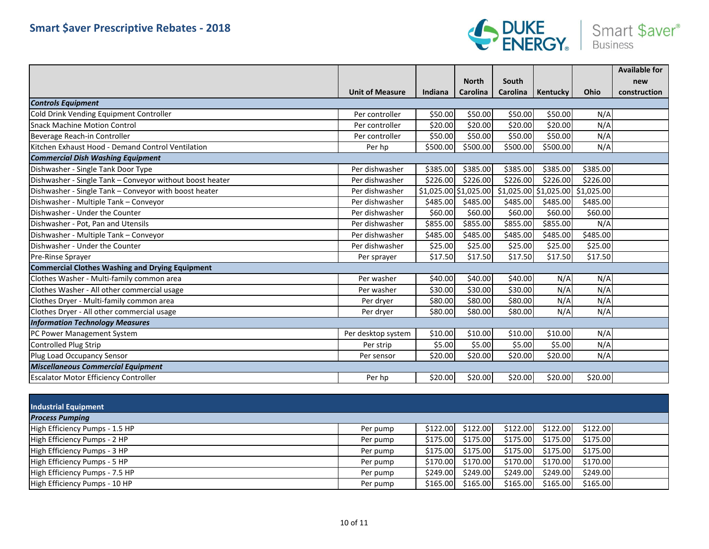

|                                                          |                        |          |                         |                 |                         |            | <b>Available for</b> |  |  |
|----------------------------------------------------------|------------------------|----------|-------------------------|-----------------|-------------------------|------------|----------------------|--|--|
|                                                          |                        |          | <b>North</b>            | South           |                         |            | new                  |  |  |
|                                                          | <b>Unit of Measure</b> | Indiana  | <b>Carolina</b>         | <b>Carolina</b> | <b>Kentucky</b>         | Ohio       | construction         |  |  |
| <b>Controls Equipment</b>                                |                        |          |                         |                 |                         |            |                      |  |  |
| Cold Drink Vending Equipment Controller                  | Per controller         | \$50.00  | \$50.00                 | \$50.00         | \$50.00                 | N/A        |                      |  |  |
| <b>Snack Machine Motion Control</b>                      | Per controller         | \$20.00  | \$20.00                 | \$20.00         | \$20.00                 | N/A        |                      |  |  |
| Beverage Reach-in Controller                             | Per controller         | \$50.00  | \$50.00                 | \$50.00         | \$50.00                 | N/A        |                      |  |  |
| Kitchen Exhaust Hood - Demand Control Ventilation        | Per hp                 | \$500.00 | \$500.00                | \$500.00        | \$500.00                | N/A        |                      |  |  |
| <b>Commercial Dish Washing Equipment</b>                 |                        |          |                         |                 |                         |            |                      |  |  |
| Dishwasher - Single Tank Door Type                       | Per dishwasher         | \$385.00 | \$385.00                | \$385.00        | \$385.00                | \$385.00   |                      |  |  |
| Dishwasher - Single Tank - Conveyor without boost heater | Per dishwasher         | \$226.00 | \$226.00                | \$226.00        | \$226.00                | \$226.00   |                      |  |  |
| Dishwasher - Single Tank - Conveyor with boost heater    | Per dishwasher         |          | $$1,025.00$ $$1,025.00$ |                 | $$1,025.00$ $$1,025.00$ | \$1,025.00 |                      |  |  |
| Dishwasher - Multiple Tank - Conveyor                    | Per dishwasher         | \$485.00 | \$485.00                | \$485.00        | \$485.00                | \$485.00   |                      |  |  |
| Dishwasher - Under the Counter                           | Per dishwasher         | \$60.00  | \$60.00                 | \$60.00         | \$60.00                 | \$60.00    |                      |  |  |
| Dishwasher - Pot, Pan and Utensils                       | Per dishwasher         | \$855.00 | \$855.00                | \$855.00        | \$855.00                | N/A        |                      |  |  |
| Dishwasher - Multiple Tank - Conveyor                    | Per dishwasher         | \$485.00 | \$485.00                | \$485.00        | \$485.00                | \$485.00   |                      |  |  |
| Dishwasher - Under the Counter                           | Per dishwasher         | \$25.00  | \$25.00                 | \$25.00         | \$25.00                 | \$25.00    |                      |  |  |
| Pre-Rinse Sprayer                                        | Per sprayer            | \$17.50  | \$17.50                 | \$17.50         | \$17.50                 | \$17.50    |                      |  |  |
| <b>Commercial Clothes Washing and Drying Equipment</b>   |                        |          |                         |                 |                         |            |                      |  |  |
| Clothes Washer - Multi-family common area                | Per washer             | \$40.00  | \$40.00                 | \$40.00         | N/A                     | N/A        |                      |  |  |
| Clothes Washer - All other commercial usage              | Per washer             | \$30.00  | \$30.00                 | \$30.00         | N/A                     | N/A        |                      |  |  |
| Clothes Dryer - Multi-family common area                 | Per dryer              | \$80.00  | \$80.00                 | \$80.00         | N/A                     | N/A        |                      |  |  |
| Clothes Dryer - All other commercial usage               | Per dryer              | \$80.00  | \$80.00                 | \$80.00         | N/A                     | N/A        |                      |  |  |
| <b>Information Technology Measures</b>                   |                        |          |                         |                 |                         |            |                      |  |  |
| PC Power Management System                               | Per desktop system     | \$10.00  | \$10.00                 | \$10.00         | \$10.00                 | N/A        |                      |  |  |
| <b>Controlled Plug Strip</b>                             | Per strip              | \$5.00   | \$5.00                  | \$5.00          | \$5.00                  | N/A        |                      |  |  |
| Plug Load Occupancy Sensor                               | Per sensor             | \$20.00  | \$20.00                 | \$20.00         | \$20.00                 | N/A        |                      |  |  |
| <b>Miscellaneous Commercial Equipment</b>                |                        |          |                         |                 |                         |            |                      |  |  |
| <b>Escalator Motor Efficiency Controller</b>             | Per hp                 | \$20.00  | \$20.00                 | \$20.00         | \$20.00                 | \$20.00    |                      |  |  |

| Industrial Equipment           |          |          |          |          |          |          |  |
|--------------------------------|----------|----------|----------|----------|----------|----------|--|
| <b>Process Pumping</b>         |          |          |          |          |          |          |  |
| High Efficiency Pumps - 1.5 HP | Per pump | \$122.00 | \$122.00 | \$122.00 | \$122.00 | \$122.00 |  |
| High Efficiency Pumps - 2 HP   | Per pump | \$175.00 | \$175.00 | \$175.00 | \$175.00 | \$175.00 |  |
| High Efficiency Pumps - 3 HP   | Per pump | \$175.00 | \$175.00 | \$175.00 | \$175.00 | \$175.00 |  |
| High Efficiency Pumps - 5 HP   | Per pump | \$170.00 | \$170.00 | \$170.00 | \$170.00 | \$170.00 |  |
| High Efficiency Pumps - 7.5 HP | Per pump | \$249.00 | \$249.00 | \$249.00 | \$249.00 | \$249.00 |  |
| High Efficiency Pumps - 10 HP  | Per pump | \$165.00 | \$165.00 | \$165.00 | \$165.00 | \$165.00 |  |